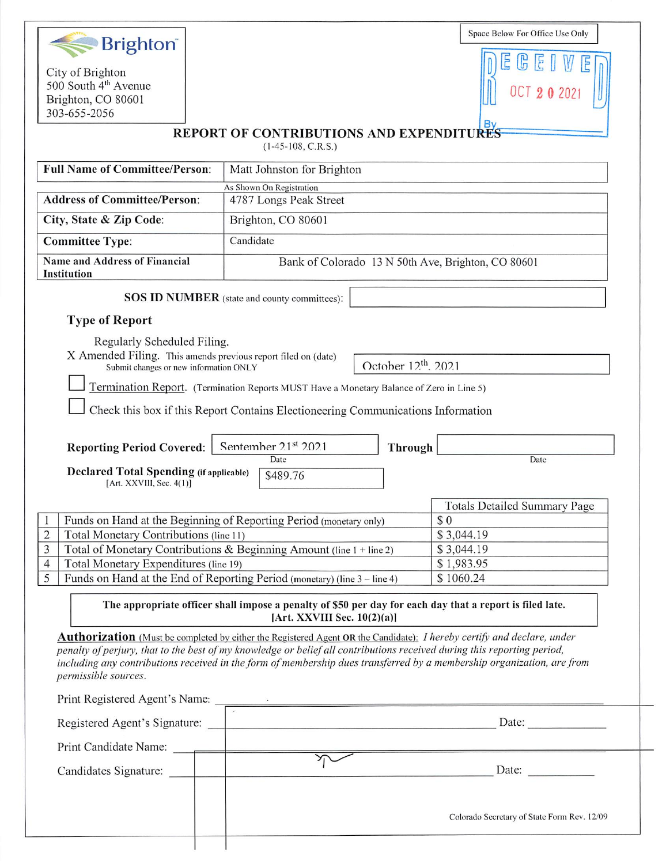| <b>Brighton</b>                                                                                                                  |                                                                                                                                                                                                                                                   | Space Below For Office Use Only             |
|----------------------------------------------------------------------------------------------------------------------------------|---------------------------------------------------------------------------------------------------------------------------------------------------------------------------------------------------------------------------------------------------|---------------------------------------------|
|                                                                                                                                  |                                                                                                                                                                                                                                                   |                                             |
| City of Brighton<br>500 South 4 <sup>th</sup> Avenue                                                                             |                                                                                                                                                                                                                                                   |                                             |
| Brighton, CO 80601                                                                                                               |                                                                                                                                                                                                                                                   |                                             |
| 303-655-2056                                                                                                                     |                                                                                                                                                                                                                                                   |                                             |
|                                                                                                                                  | <b>REPORT OF CONTRIBUTIONS AND EXPENDITURES</b><br>$(1-45-108, C.R.S.)$                                                                                                                                                                           |                                             |
| <b>Full Name of Committee/Person:</b>                                                                                            | Matt Johnston for Brighton                                                                                                                                                                                                                        |                                             |
|                                                                                                                                  | As Shown On Registration                                                                                                                                                                                                                          |                                             |
| <b>Address of Committee/Person:</b><br>4787 Longs Peak Street                                                                    |                                                                                                                                                                                                                                                   |                                             |
| City, State & Zip Code:<br>Brighton, CO 80601                                                                                    |                                                                                                                                                                                                                                                   |                                             |
| <b>Committee Type:</b>                                                                                                           | Candidate                                                                                                                                                                                                                                         |                                             |
| <b>Name and Address of Financial</b><br>Institution                                                                              | Bank of Colorado 13 N 50th Ave, Brighton, CO 80601                                                                                                                                                                                                |                                             |
|                                                                                                                                  | <b>SOS ID NUMBER</b> (state and county committees):                                                                                                                                                                                               |                                             |
| <b>Type of Report</b>                                                                                                            |                                                                                                                                                                                                                                                   |                                             |
| Regularly Scheduled Filing.                                                                                                      |                                                                                                                                                                                                                                                   |                                             |
| X Amended Filing. This amends previous report filed on (date)<br>Submit changes or new information ONLY                          | October 12 <sup>th</sup> , 2021                                                                                                                                                                                                                   |                                             |
|                                                                                                                                  | Termination Report. (Termination Reports MUST Have a Monetary Balance of Zero in Line 5)                                                                                                                                                          |                                             |
|                                                                                                                                  |                                                                                                                                                                                                                                                   |                                             |
|                                                                                                                                  | Check this box if this Report Contains Electioneering Communications Information                                                                                                                                                                  |                                             |
| <b>Reporting Period Covered:</b>                                                                                                 | Sentember 2.1 <sup>st</sup> 2021<br><b>Through</b>                                                                                                                                                                                                |                                             |
| <b>Declared Total Spending (if applicable)</b>                                                                                   | Date                                                                                                                                                                                                                                              | Date                                        |
| [Art. XXVIII, Sec. 4(1)]                                                                                                         | \$489.76                                                                                                                                                                                                                                          |                                             |
|                                                                                                                                  |                                                                                                                                                                                                                                                   | <b>Totals Detailed Summary Page</b>         |
| Funds on Hand at the Beginning of Reporting Period (monetary only)<br>\$0                                                        |                                                                                                                                                                                                                                                   |                                             |
| Total Monetary Contributions (line 11)<br>$\overline{2}$<br>\$3,044.19                                                           |                                                                                                                                                                                                                                                   |                                             |
| Total of Monetary Contributions & Beginning Amount (line 1 + line 2)<br>3<br>\$3,044.19<br>Total Monetary Expenditures (line 19) |                                                                                                                                                                                                                                                   | \$1,983.95                                  |
| $\overline{4}$<br>5<br>Funds on Hand at the End of Reporting Period (monetary) (line 3 – line 4)                                 |                                                                                                                                                                                                                                                   | \$1060.24                                   |
|                                                                                                                                  |                                                                                                                                                                                                                                                   |                                             |
|                                                                                                                                  | The appropriate officer shall impose a penalty of \$50 per day for each day that a report is filed late.<br>[Art. XXVIII Sec. $10(2)(a)$ ]                                                                                                        |                                             |
|                                                                                                                                  | <b>Authorization</b> (Must be completed by either the Registered Agent OR the Candidate): I hereby certify and declare, under                                                                                                                     |                                             |
|                                                                                                                                  | penalty of perjury, that to the best of my knowledge or belief all contributions received during this reporting period,<br>including any contributions received in the form of membership dues transferred by a membership organization, are from |                                             |
| permissible sources.                                                                                                             |                                                                                                                                                                                                                                                   |                                             |
|                                                                                                                                  |                                                                                                                                                                                                                                                   |                                             |
|                                                                                                                                  | Print Registered Agent's Name:                                                                                                                                                                                                                    |                                             |
|                                                                                                                                  |                                                                                                                                                                                                                                                   |                                             |
|                                                                                                                                  |                                                                                                                                                                                                                                                   |                                             |
|                                                                                                                                  |                                                                                                                                                                                                                                                   |                                             |
|                                                                                                                                  |                                                                                                                                                                                                                                                   | Date:                                       |
| Candidates Signature:                                                                                                            |                                                                                                                                                                                                                                                   |                                             |
|                                                                                                                                  |                                                                                                                                                                                                                                                   | Colorado Secretary of State Form Rev. 12/09 |

 $\perp$ 

 $\overline{\phantom{a}}$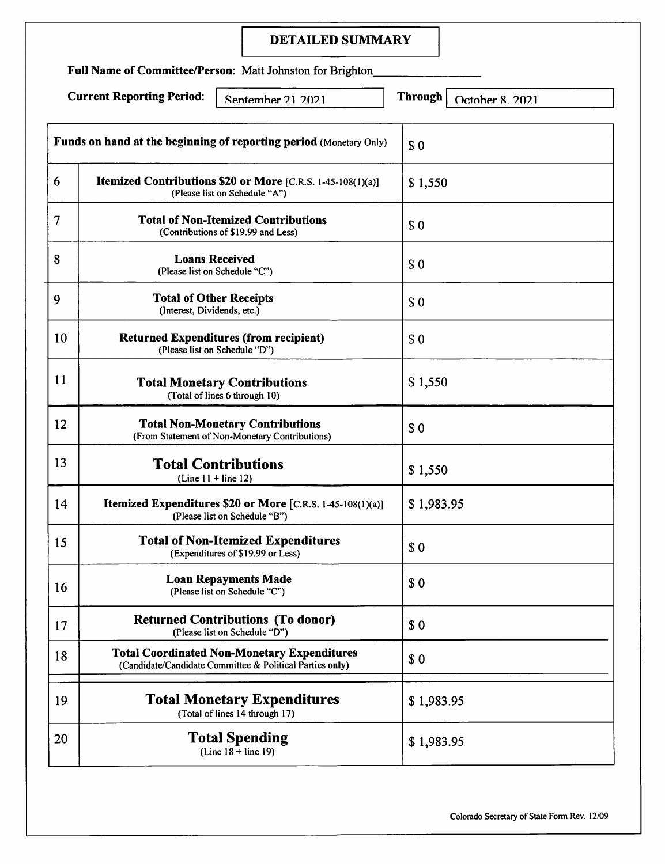# DETAILED SUMMARY

Full Name of Committee/Person: Matt Johnston for Brighton

Current Reporting Period: Sentember 21 2021 Through October 8 2021

|        | Funds on hand at the beginning of reporting period (Monetary Only)                                             | \$0        |
|--------|----------------------------------------------------------------------------------------------------------------|------------|
| 6      | Itemized Contributions \$20 or More [C.R.S. 1-45-108(1)(a)]<br>(Please list on Schedule "A")                   | \$1,550    |
| $\tau$ | <b>Total of Non-Itemized Contributions</b><br>(Contributions of \$19.99 and Less)                              | \$0        |
| 8      | <b>Loans Received</b><br>(Please list on Schedule "C")                                                         | \$0        |
| 9      | <b>Total of Other Receipts</b><br>(Interest, Dividends, etc.)                                                  | \$0        |
| 10     | <b>Returned Expenditures (from recipient)</b><br>(Please list on Schedule "D")                                 | \$0        |
| 11     | <b>Total Monetary Contributions</b><br>(Total of lines 6 through 10)                                           | \$1,550    |
| 12     | <b>Total Non-Monetary Contributions</b><br>(From Statement of Non-Monetary Contributions)                      | \$0        |
| 13     | <b>Total Contributions</b><br>$(Line 11 + line 12)$                                                            | \$1,550    |
| 14     | Itemized Expenditures \$20 or More [C.R.S. 1-45-108(1)(a)]<br>(Please list on Schedule "B")                    | \$1,983.95 |
| 15     | <b>Total of Non-Itemized Expenditures</b><br>(Expenditures of \$19.99 or Less)                                 | \$0        |
| 16     | <b>Loan Repayments Made</b><br>(Please list on Schedule "C")                                                   | \$0        |
| 17     | <b>Returned Contributions (To donor)</b><br>(Please list on Schedule "D")                                      | \$0        |
| 18     | <b>Total Coordinated Non-Monetary Expenditures</b><br>(Candidate/Candidate Committee & Political Parties only) | \$0        |
| 19     | <b>Total Monetary Expenditures</b><br>(Total of lines 14 through 17)                                           | \$1,983.95 |
| 20     | <b>Total Spending</b><br>$(Line 18 + line 19)$                                                                 | \$1,983.95 |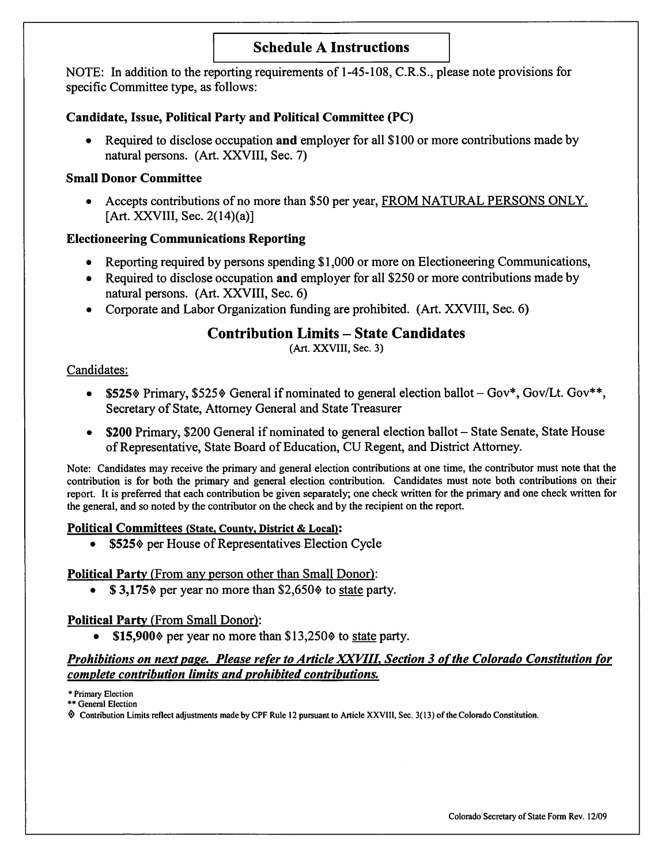# Schedule A Instructions

NOTE: In addition to the reporting requirements of 1-45-108, C.R.S., please note provisions for specific Committee type, as follows:

#### Candidate, Issue, Political Party and Political Committee (PC)

• Required to disclose occupation and employer for all \$100 or more contributions made by natural persons. (Art. XXVIII, Sec. 7)

#### Small Donor Committee

• Accepts contributions of no more than \$50 per year, FROM NATURAL PERSONS ONLY. [Art. XXVIII, Sec. 2(14)(a)]

# Electioneering Communications Reporting

- Reporting required by persons spending \$1,000 or more on Electioneering Communications,
- Required to disclose occupation and employer for all \$250 or more contributions made by natural persons. (Art. XXVIII, Sec. 6)
- Corporate and Labor Organization flmding are prohibited. (Art. XXVIII, Sec. 6)

# Contribution Limits - State Candidates

(Art. XXVIII, Sec. 3)

#### Candidates:

- \$525% Primary, \$525% General if nominated to general election ballot  $-Gov^*$ , Gov/Lt. Gov\*\*, Secretary of State, Attorney General and State Treasurer
- \$200 Primary, \$200 General if nominated to general election ballot State Senate, State House of Representative, State Board of Education, CU Regent, and District Attorney.

Note: Candidates may receive the primary and general election contributions at one time, the contributor must note that the contribution is for both the primary and general election contribution. Candidates must note both contributions on their report. It is preferred that each contribution be given separately; one check written for the primary and one check written for the general, and so noted by the contributor on the check and by the recipient on the report.

#### Political Committees (State, County, District & Local):

•  $$525\%$  per House of Representatives Election Cycle

# Political Party (From any person other than Small Donor):

•  $\$$  3,175 $\degree$  per year no more than \$2,650 $\degree$  to state party.

# Political Party (From Small Donor):

• \$15,900 $\textdegree$  per year no more than \$13,250 $\textdegree$  to state party.

# Prohibitions on next page. Please refer to Article XXVIII, Section 3 of the Colorado Constitution for complete contribution limits and prohibited contributions.

\* Primary Election \*\* General Election

^ Contribution Limits reflect adjustments made by CPF Rule 12 pursuant to Article XXVIII, Sec. 3( 13) of the Colorado Constitution.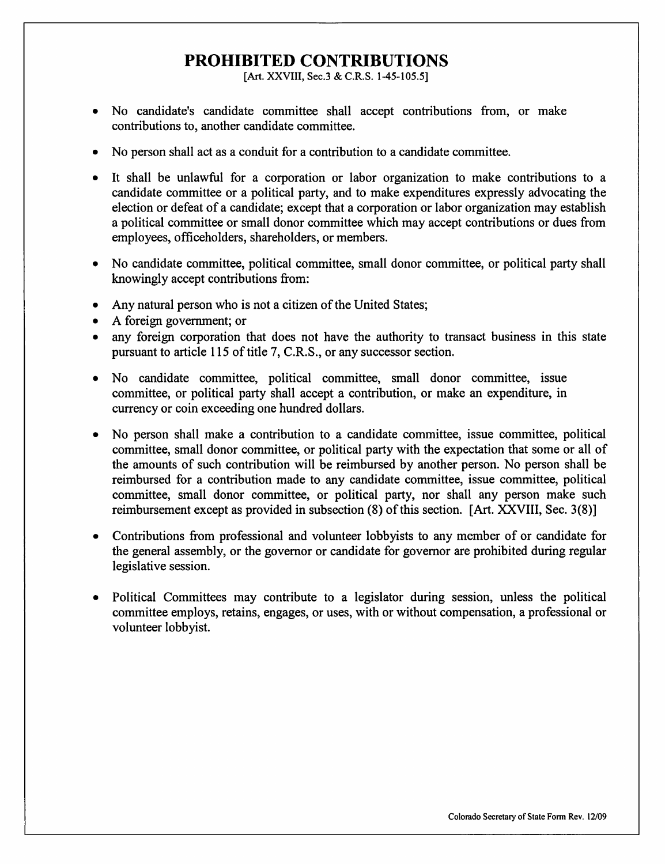# PROHIBITED CONTRIBUTIONS

[Art. XXVIII, Sec.3 & C.R.S. 1-45-105.5]

- No candidate's candidate committee shall accept contributions from, or make contributions to, another candidate committee.
- No person shall act as a conduit for a contribution to a candidate committee.
- It shall be unlawful for a corporation or labor organization to make contributions to a candidate committee or a political party, and to make expenditures expressly advocating the election or defeat of a eandidate; exeept that a corporation or labor organization may establish a politieal eommittee or small donor committee which may accept contributions or dues from employees, officeholders, shareholders, or members.
- No candidate committee, politieal eommittee, small donor eommittee, or political party shall knowingly accept contributions from:
- Any natural person who is not a citizen of the United States;
- A foreign government; or
- any foreign corporation that does not have the authority to transact business in this state pursuant to article 115 of title 7, C.R.S., or any successor section.
- No candidate committee, political committee, small donor committee, issue committee, or political party shall accept a contribution, or make an expenditure, in eurreney or coin exceeding one hundred dollars.
- No person shall make a contribution to a candidate committee, issue committee, political eommittee, small donor committee, or political party with the expeetation that some or all of the amounts of such contribution will be reimbursed by another person. No person shall be reimbursed for a contribution made to any candidate eommittee, issue committee, political committee, small donor eommittee, or politieal party, nor shall any person make such reimbursement except as provided in subsection (8) of this section. [Art. XXVIII, Sec. 3(8)]
- Contributions from professional and volunteer lobbyists to any member of or candidate for the general assembly, or the governor or candidate for governor are prohibited during regular legislative session.
- Political Committees may eontribute to a legislator during session, unless the political committee employs, retains, engages, or uses, with or without compensation, a professional or volunteer lobbyist.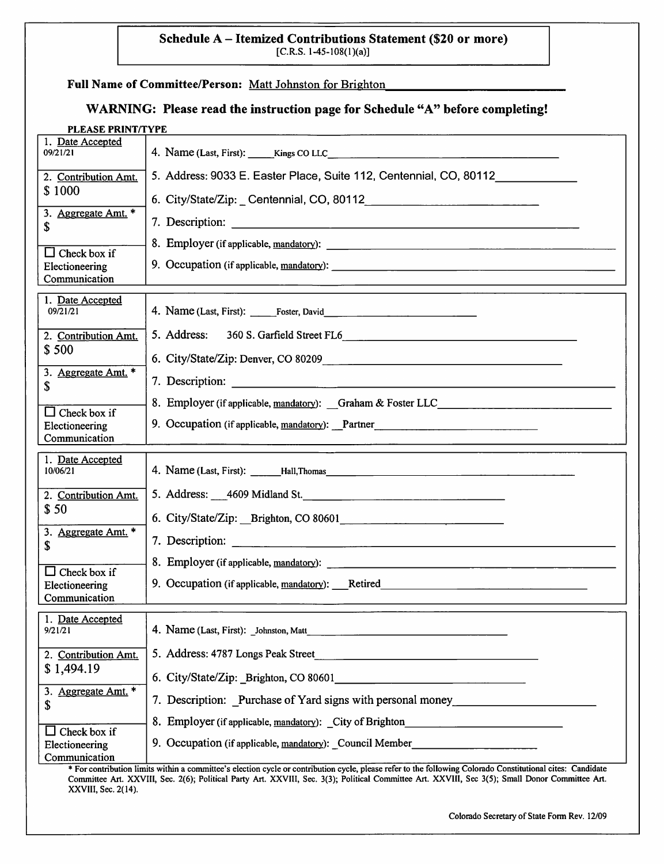#### Schedule A - Itemized Contributions Statement (\$20 or more)  $[C.R.S. 1-45-108(1)(a)]$

# Full Name of Committee/Person: Matt Johnston for Brighton

# WARNING: Please read the instruction page for Schedule "A" before completing!

| PLEASE PRINT/TYPE                                      |                                                                    |
|--------------------------------------------------------|--------------------------------------------------------------------|
| 1. Date Accepted<br>09/21/21                           |                                                                    |
| 2. Contribution Amt.                                   | 5. Address: 9033 E. Easter Place, Suite 112, Centennial, CO, 80112 |
| \$1000                                                 | 6. City/State/Zip: Centennial, CO, 80112                           |
| 3. Aggregate Amt. *<br>\$                              |                                                                    |
| $\Box$ Check box if                                    |                                                                    |
| Electioneering<br>Communication                        |                                                                    |
| 1. Date Accepted<br>09/21/21                           |                                                                    |
| 2. Contribution Amt.                                   | 5. Address:<br>360 S. Garfield Street FL6                          |
| \$500                                                  |                                                                    |
| 3. Aggregate Amt. *<br>\$                              |                                                                    |
| $\Box$ Check box if                                    | 8. Employer (if applicable, mandatory): Graham & Foster LLC        |
| Electioneering<br>Communication                        | 9. Occupation (if applicable, mandatory): Partner                  |
|                                                        |                                                                    |
| 1. Date Accepted<br>10/06/21                           |                                                                    |
| 2. Contribution Amt.                                   |                                                                    |
| \$50                                                   | 6. City/State/Zip: Brighton, CO 80601<br><u> </u>                  |
| 3. Aggregate Amt. *<br>\$                              |                                                                    |
|                                                        |                                                                    |
| $\Box$ Check box if<br>Electioneering<br>Communication | 9. Occupation (if applicable, mandatory): Retired                  |
| 1. Date Accepted<br>9/21/21                            | 4. Name (Last, First): Johnston, Matt                              |
| 2. Contribution Amt.                                   | 5. Address: 4787 Longs Peak Street                                 |
| \$1,494.19                                             |                                                                    |
| 3. Aggregate Amt. *<br>\$                              | 7. Description: Purchase of Yard signs with personal money         |
|                                                        | 8. Employer (if applicable, mandatory): City of Brighton           |
| Check box if<br>Electioneering<br>Communication        | 9. Occupation (if applicable, mandatory): Council Member           |

\* For contribution limits witliin a committee's election cycle or contribution cycle, please refer to the following Colorado Constitutional cites: Candidate Committee Art. XXVIll, Sec. 2(6); Political Party Art. XXVlll, Sec. 3(3); Political Committee Art. XXVIII, Sec 3(5); Small Donor Committee Art. XXVIII, Sec. 2(14).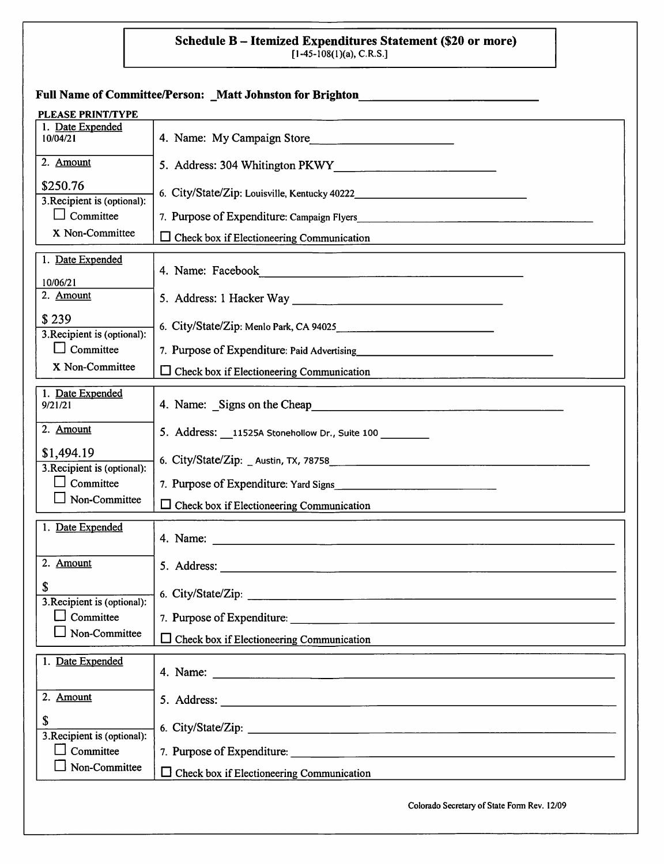# Schedule B – Itemized Expenditures Statement (\$20 or more)<br>[1-45-108(1)(a), C.R.S.]

|                                           | Full Name of Committee/Person: _Matt Johnston for Brighton_                                                                                                                                                                                      |
|-------------------------------------------|--------------------------------------------------------------------------------------------------------------------------------------------------------------------------------------------------------------------------------------------------|
| PLEASE PRINT/TYPE                         |                                                                                                                                                                                                                                                  |
| 1. Date Expended<br>10/04/21              | 4. Name: My Campaign Store                                                                                                                                                                                                                       |
| 2. Amount                                 |                                                                                                                                                                                                                                                  |
| \$250.76<br>3. Recipient is (optional):   |                                                                                                                                                                                                                                                  |
| $\Box$ Committee                          |                                                                                                                                                                                                                                                  |
| X Non-Committee                           | $\Box$ Check box if Electioneering Communication                                                                                                                                                                                                 |
| 1. Date Expended<br>10/06/21              |                                                                                                                                                                                                                                                  |
| 2. Amount                                 |                                                                                                                                                                                                                                                  |
| \$239<br>3. Recipient is (optional):      |                                                                                                                                                                                                                                                  |
| Committee                                 | 7. Purpose of Expenditure: Paid Advertising and a series of Expenditure of Paid Advertising                                                                                                                                                      |
| X Non-Committee                           | $\Box$ Check box if Electioneering Communication                                                                                                                                                                                                 |
| 1. Date Expended<br>9/21/21               | 4. Name: Signs on the Cheap<br>Signs of the Cheap<br>Signs of the Cheap<br>Signs of the Cheap<br>Signs of the Cheap<br>Signs of the Cheap<br>Signs of the Cheap<br>Signs of the Cheap<br>Signs of the Cheap<br>Signs of the Cheap and Signs of t |
| 2. Amount                                 | 5. Address: __11525A Stonehollow Dr., Suite 100 _______                                                                                                                                                                                          |
| \$1,494.19<br>3. Recipient is (optional): |                                                                                                                                                                                                                                                  |
| Committee                                 |                                                                                                                                                                                                                                                  |
| Non-Committee                             | $\Box$ Check box if Electioneering Communication                                                                                                                                                                                                 |
| 1. Date Expended                          |                                                                                                                                                                                                                                                  |
| 2. Amount                                 | 5. Address:<br><u> 1980 - Jan Stein Berlin, Amerikaansk politiker (</u>                                                                                                                                                                          |
| S<br>3. Recipient is (optional):          | 6. City/State/Zip:                                                                                                                                                                                                                               |
| Committee<br>l 1                          | 7. Purpose of Expenditure:                                                                                                                                                                                                                       |
| Non-Committee                             | $\Box$ Check box if Electioneering Communication                                                                                                                                                                                                 |
| 1. Date Expended                          |                                                                                                                                                                                                                                                  |
| 2. Amount                                 |                                                                                                                                                                                                                                                  |
| \$<br>3. Recipient is (optional):         | 6. City/State/Zip:                                                                                                                                                                                                                               |
| Committee                                 | 7. Purpose of Expenditure:                                                                                                                                                                                                                       |
| Non-Committee                             | $\Box$ Check box if Electioneering Communication                                                                                                                                                                                                 |
|                                           |                                                                                                                                                                                                                                                  |

Colorado Secretary of State Fonn Rev. 12/09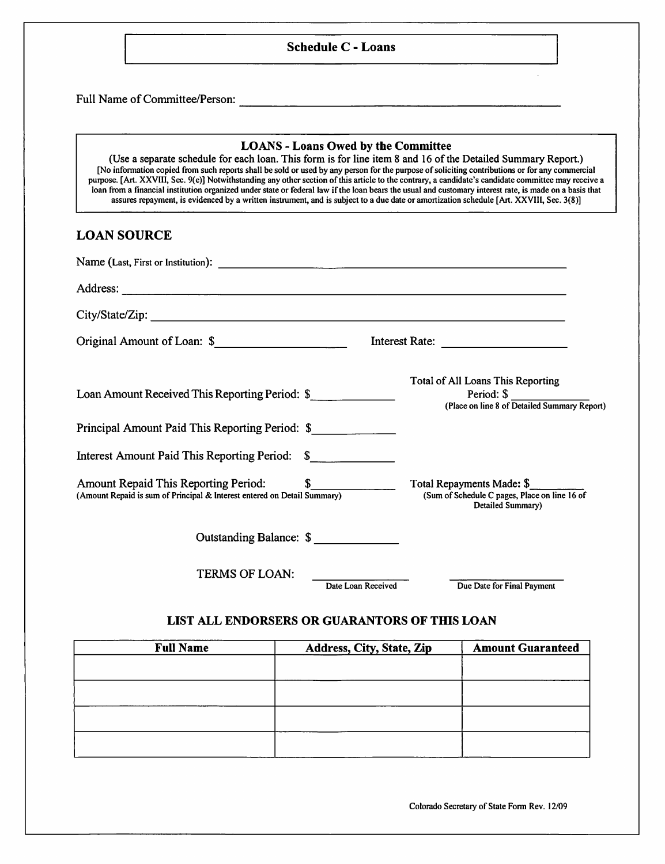#### Schedule C - Loans

Full Name of Committee/Person:

#### LOANS - Loans Owed by the Committee

(Use a separate schedule for each loan. This form is for line item 8 and 16 of the Detailed Summary Report.) [No information copied from such reports shall be sold or used by any person for the purpose of soliciting contributions or for any commercial purpose. [Art. XXVlll, Sec. 9(e)] Notwithstanding any other section of this article to the contrary, a candidate's candidate committee may receive a loan from a financial institution organized under state or federal law if the loan bears the usual and customary interest rate, is made on a basis that assures repayment, is evidenced by a written instrument, and is subject to a due date or amortization schedule [Art. XXVlll, Sec. 3(8)]

#### LOAN SOURCE

| Original Amount of Loan: \$                                                                                         |                                                                                                                        |
|---------------------------------------------------------------------------------------------------------------------|------------------------------------------------------------------------------------------------------------------------|
| Loan Amount Received This Reporting Period: \$                                                                      | Total of All Loans This Reporting<br>Period: $\sqrt[3]{\phantom{a}^2}$<br>(Place on line 8 of Detailed Summary Report) |
| Principal Amount Paid This Reporting Period: \$                                                                     |                                                                                                                        |
| Interest Amount Paid This Reporting Period: \$                                                                      |                                                                                                                        |
| Amount Repaid This Reporting Period: \$<br>(Amount Repaid is sum of Principal & Interest entered on Detail Summary) | Total Repayments Made: \$<br>(Sum of Schedule C pages, Place on line 16 of<br>Detailed Summary)                        |
| Outstanding Balance: \$                                                                                             |                                                                                                                        |
| <b>TERMS OF LOAN:</b>                                                                                               | Due Date for Final Payment<br>Date Loan Received                                                                       |

#### LIST ALL ENDORSERS OR GUARANTORS OE THIS LOAN

| <b>Full Name</b> | Address, City, State, Zip | <b>Amount Guaranteed</b> |
|------------------|---------------------------|--------------------------|
|                  |                           |                          |
|                  |                           |                          |
|                  |                           |                          |
|                  |                           |                          |
|                  |                           |                          |

Colorado Secretaiy of State Form Rev. 12/09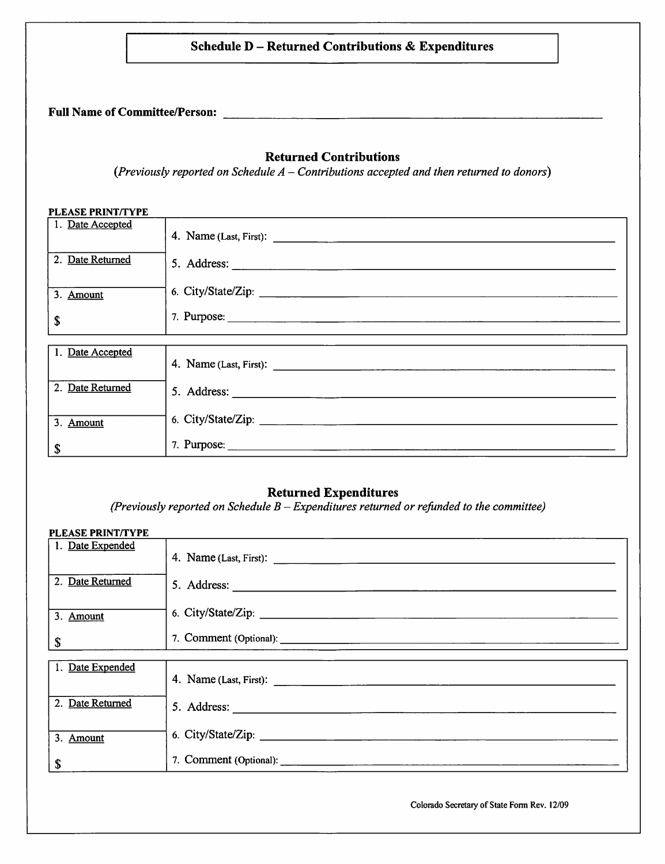#### Schedule D - Returned Contributions & Expenditures

Full Name of Committee/Person:

#### Returned Contributions

(Previously reported on Schedule  $A$  – Contributions accepted and then returned to donors)

#### PLEASE PRINT/TYPE

| 1. Date Accepted |                    |
|------------------|--------------------|
| 2. Date Returned |                    |
| 3. Amount        | 6. City/State/Zip: |
| \$               |                    |
|                  |                    |
| 1. Date Accepted |                    |
| 2. Date Returned |                    |
| 3. Amount        | 6. City/State/Zip: |
| \$               |                    |

#### Returned Expenditures

(Previously reported on Schedule  $B$  – Expenditures returned or refunded to the committee)

# PLEASE PRINT/TYPE 1. Date Expended 4. Name (Last, First): 2. Date Returned 5. Address: 3. Amount 6. City/State/Zip: 7. Comment (Optional): \$ 1. Date Expended 4. Name (Last, First): 2. Date Returned 5. Address: 5. Address: 3. Amount 6. City/State/Zip:  $\int$  7. Comment (Optional):  $\frac{1}{\sqrt{2}}$

Colorado Secretary of State Forni Rev. 12/09